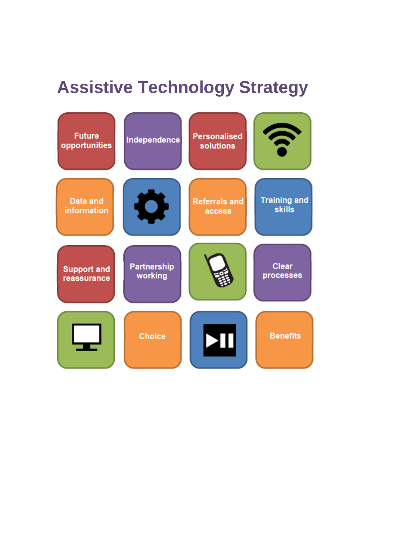# **Assistive Technology Strategy**

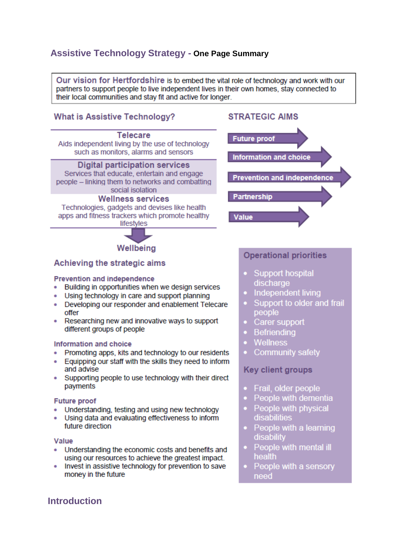# **Assistive Technology Strategy - One Page Summary**

Our vision for Hertfordshire is to embed the vital role of technology and work with our partners to support people to live independent lives in their own homes, stay connected to their local communities and stay fit and active for longer.

# **What is Assistive Technology?**

# **Telecare** Aids independent living by the use of technology such as monitors, alarms and sensors **Digital participation services**

Services that educate, entertain and engage people - linking them to networks and combatting social isolation

### **Wellness services**

Technologies, gadgets and devises like health apps and fitness trackers which promote healthy lifestyles

Wellbeing

# **STRATEGIC AIMS**



# Achieving the strategic aims

#### **Prevention and independence**

- Building in opportunities when we design services
- . Using technology in care and support planning
- Developing our responder and enablement Telecare offer
- Researching new and innovative ways to support different groups of people

#### **Information and choice**

- Promoting apps, kits and technology to our residents
- Equipping our staff with the skills they need to inform and advise
- Supporting people to use technology with their direct payments

#### **Future proof**

- Understanding, testing and using new technology
- . Using data and evaluating effectiveness to inform future direction

#### Value

- Understanding the economic costs and benefits and using our resources to achieve the greatest impact.
- Invest in assistive technology for prevention to save money in the future

# **Operational priorities**

- Support hospital discharge
- Independent living
- Support to older and frail people
- Carer support
- **Befriending**
- Wellness
- **Community safety**

## **Key client groups**

- Frail, older people
- People with dementia
- People with physical disabilities
- People with a learning **disability**
- People with mental ill health
- People with a sensory need

# **Introduction**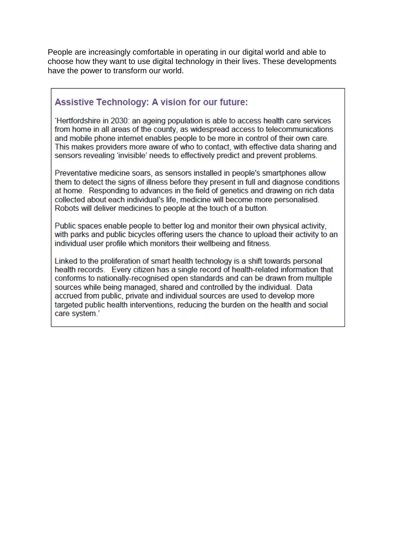People are increasingly comfortable in operating in our digital world and able to choose how they want to use digital technology in their lives. These developments have the power to transform our world.

# **Assistive Technology: A vision for our future:**

'Hertfordshire in 2030; an ageing population is able to access health care services from home in all areas of the county, as widespread access to telecommunications and mobile phone internet enables people to be more in control of their own care. This makes providers more aware of who to contact, with effective data sharing and sensors revealing 'invisible' needs to effectively predict and prevent problems.

Preventative medicine soars, as sensors installed in people's smartphones allow them to detect the signs of illness before they present in full and diagnose conditions at home. Responding to advances in the field of genetics and drawing on rich data collected about each individual's life, medicine will become more personalised. Robots will deliver medicines to people at the touch of a button.

Public spaces enable people to better log and monitor their own physical activity, with parks and public bicycles offering users the chance to upload their activity to an individual user profile which monitors their wellbeing and fitness.

Linked to the proliferation of smart health technology is a shift towards personal health records. Every citizen has a single record of health-related information that conforms to nationally-recognised open standards and can be drawn from multiple sources while being managed, shared and controlled by the individual. Data accrued from public, private and individual sources are used to develop more targeted public health interventions, reducing the burden on the health and social care system.'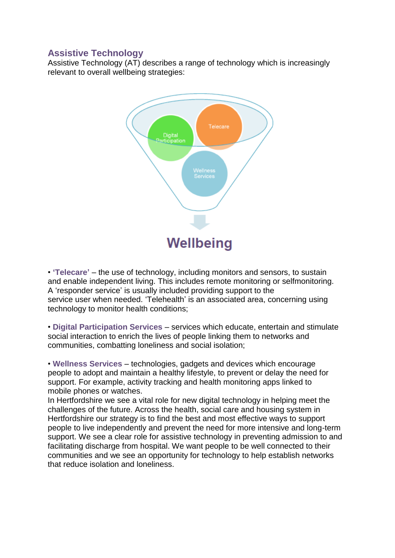# **Assistive Technology**

Assistive Technology (AT) describes a range of technology which is increasingly relevant to overall wellbeing strategies:



• **'Telecare'** – the use of technology, including monitors and sensors, to sustain and enable independent living. This includes remote monitoring or selfmonitoring. A 'responder service' is usually included providing support to the service user when needed. 'Telehealth' is an associated area, concerning using technology to monitor health conditions;

• **Digital Participation Services** – services which educate, entertain and stimulate social interaction to enrich the lives of people linking them to networks and communities, combatting loneliness and social isolation;

• **Wellness Services** – technologies, gadgets and devices which encourage people to adopt and maintain a healthy lifestyle, to prevent or delay the need for support. For example, activity tracking and health monitoring apps linked to mobile phones or watches.

In Hertfordshire we see a vital role for new digital technology in helping meet the challenges of the future. Across the health, social care and housing system in Hertfordshire our strategy is to find the best and most effective ways to support people to live independently and prevent the need for more intensive and long-term support. We see a clear role for assistive technology in preventing admission to and facilitating discharge from hospital. We want people to be well connected to their communities and we see an opportunity for technology to help establish networks that reduce isolation and loneliness.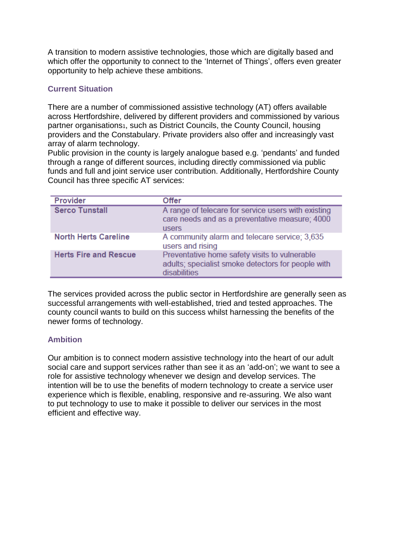A transition to modern assistive technologies, those which are digitally based and which offer the opportunity to connect to the 'Internet of Things', offers even greater opportunity to help achieve these ambitions.

# **Current Situation**

There are a number of commissioned assistive technology (AT) offers available across Hertfordshire, delivered by different providers and commissioned by various partner organisations<sub>1</sub>, such as District Councils, the County Council, housing providers and the Constabulary. Private providers also offer and increasingly vast array of alarm technology.

Public provision in the county is largely analogue based e.g. 'pendants' and funded through a range of different sources, including directly commissioned via public funds and full and joint service user contribution. Additionally, Hertfordshire County Council has three specific AT services:

| Provider                     | <b>Offer</b>                                                                                                          |
|------------------------------|-----------------------------------------------------------------------------------------------------------------------|
| <b>Serco Tunstall</b>        | A range of telecare for service users with existing<br>care needs and as a preventative measure; 4000<br><b>users</b> |
| <b>North Herts Careline</b>  | A community alarm and telecare service; 3,635<br>users and rising                                                     |
| <b>Herts Fire and Rescue</b> | Preventative home safety visits to vulnerable<br>adults; specialist smoke detectors for people with<br>disabilities   |

The services provided across the public sector in Hertfordshire are generally seen as successful arrangements with well-established, tried and tested approaches. The county council wants to build on this success whilst harnessing the benefits of the newer forms of technology.

## **Ambition**

Our ambition is to connect modern assistive technology into the heart of our adult social care and support services rather than see it as an 'add-on'; we want to see a role for assistive technology whenever we design and develop services. The intention will be to use the benefits of modern technology to create a service user experience which is flexible, enabling, responsive and re-assuring. We also want to put technology to use to make it possible to deliver our services in the most efficient and effective way.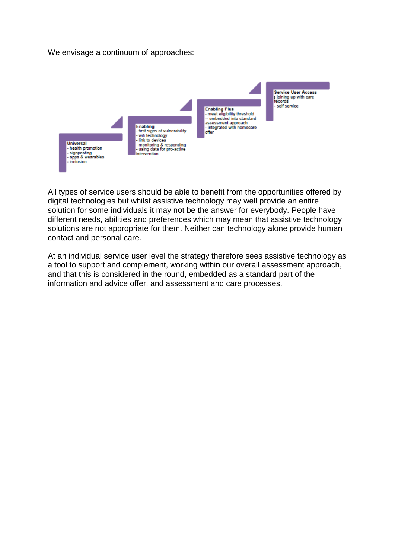We envisage a continuum of approaches:



All types of service users should be able to benefit from the opportunities offered by digital technologies but whilst assistive technology may well provide an entire solution for some individuals it may not be the answer for everybody. People have different needs, abilities and preferences which may mean that assistive technology solutions are not appropriate for them. Neither can technology alone provide human contact and personal care.

At an individual service user level the strategy therefore sees assistive technology as a tool to support and complement, working within our overall assessment approach, and that this is considered in the round, embedded as a standard part of the information and advice offer, and assessment and care processes.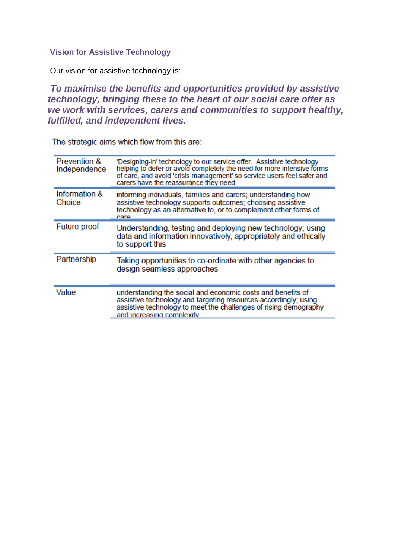## **Vision for Assistive Technology**

Our vision for assistive technology is:

*To maximise the benefits and opportunities provided by assistive technology, bringing these to the heart of our social care offer as we work with services, carers and communities to support healthy, fulfilled, and independent lives.*

The strategic aims which flow from this are:

| Prevention &<br>Independence | 'Designing-in' technology to our service offer. Assistive technology<br>helping to defer or avoid completely the need for more intensive forms<br>of care, and avoid 'crisis management' so service users feel safer and<br>carers have the reassurance they need |
|------------------------------|-------------------------------------------------------------------------------------------------------------------------------------------------------------------------------------------------------------------------------------------------------------------|
| Information &<br>Choice      | informing individuals, families and carers; understanding how<br>assistive technology supports outcomes; choosing assistive<br>technology as an alternative to, or to complement other forms of<br>care                                                           |
| Future proof                 | Understanding, testing and deploying new technology; using<br>data and information innovatively, appropriately and ethically<br>to support this                                                                                                                   |
| Partnership                  | Taking opportunities to co-ordinate with other agencies to<br>design seamless approaches                                                                                                                                                                          |
| Value                        | understanding the social and economic costs and benefits of<br>assistive technology and targeting resources accordingly; using<br>assistive technology to meet the challenges of rising demography<br>and increasing complexity                                   |
|                              |                                                                                                                                                                                                                                                                   |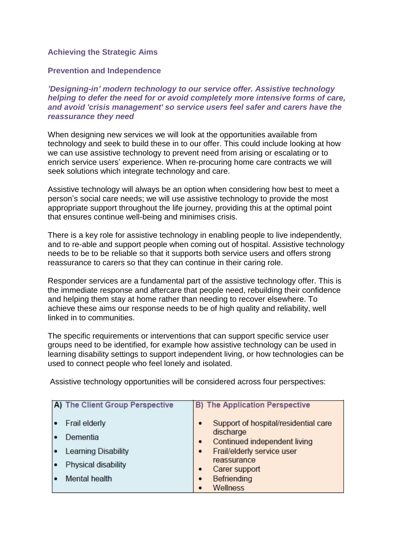# **Achieving the Strategic Aims**

### **Prevention and Independence**

*'Designing-in' modern technology to our service offer. Assistive technology helping to defer the need for or avoid completely more intensive forms of care, and avoid 'crisis management' so service users feel safer and carers have the reassurance they need*

When designing new services we will look at the opportunities available from technology and seek to build these in to our offer. This could include looking at how we can use assistive technology to prevent need from arising or escalating or to enrich service users' experience. When re-procuring home care contracts we will seek solutions which integrate technology and care.

Assistive technology will always be an option when considering how best to meet a person's social care needs; we will use assistive technology to provide the most appropriate support throughout the life journey, providing this at the optimal point that ensures continue well-being and minimises crisis.

There is a key role for assistive technology in enabling people to live independently, and to re-able and support people when coming out of hospital. Assistive technology needs to be to be reliable so that it supports both service users and offers strong reassurance to carers so that they can continue in their caring role.

Responder services are a fundamental part of the assistive technology offer. This is the immediate response and aftercare that people need, rebuilding their confidence and helping them stay at home rather than needing to recover elsewhere. To achieve these aims our response needs to be of high quality and reliability, well linked in to communities.

The specific requirements or interventions that can support specific service user groups need to be identified, for example how assistive technology can be used in learning disability settings to support independent living, or how technologies can be used to connect people who feel lonely and isolated.

| A) The Client Group Perspective  | <b>B)</b> The Application Perspective                                               |
|----------------------------------|-------------------------------------------------------------------------------------|
| <b>Frail elderly</b><br>Dementia | Support of hospital/residential care<br>٠<br>discharge                              |
| <b>Learning Disability</b>       | Continued independent living<br>٠<br>Frail/elderly service user<br>٠<br>reassurance |
| Physical disability              | Carer support<br>٠                                                                  |
| <b>Mental health</b>             | Befriending<br>$\bullet$<br>Wellness<br>۰                                           |

Assistive technology opportunities will be considered across four perspectives: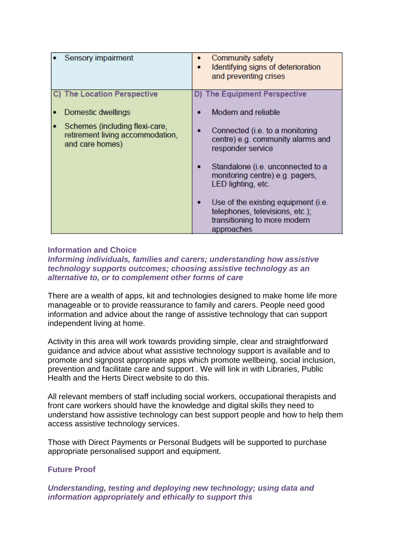| Sensory impairment                                                                    | Community safety<br>Identifying signs of deterioration<br>and preventing crises                                      |
|---------------------------------------------------------------------------------------|----------------------------------------------------------------------------------------------------------------------|
| C) The Location Perspective                                                           | D) The Equipment Perspective                                                                                         |
| Domestic dwellings                                                                    | Modern and reliable                                                                                                  |
| Schemes (including flexi-care,<br>retirement living accommodation,<br>and care homes) | Connected (i.e. to a monitoring<br>centre) e.g. community alarms and<br>responder service                            |
|                                                                                       | Standalone (i.e. unconnected to a<br>monitoring centre) e.g. pagers,<br>LED lighting, etc.                           |
|                                                                                       | Use of the existing equipment (i.e.<br>telephones, televisions, etc.);<br>transitioning to more modern<br>approaches |

## **Information and Choice**

*Informing individuals, families and carers; understanding how assistive technology supports outcomes; choosing assistive technology as an alternative to, or to complement other forms of care*

There are a wealth of apps, kit and technologies designed to make home life more manageable or to provide reassurance to family and carers. People need good information and advice about the range of assistive technology that can support independent living at home.

Activity in this area will work towards providing simple, clear and straightforward guidance and advice about what assistive technology support is available and to promote and signpost appropriate apps which promote wellbeing, social inclusion, prevention and facilitate care and support . We will link in with Libraries, Public Health and the Herts Direct website to do this.

All relevant members of staff including social workers, occupational therapists and front care workers should have the knowledge and digital skills they need to understand how assistive technology can best support people and how to help them access assistive technology services.

Those with Direct Payments or Personal Budgets will be supported to purchase appropriate personalised support and equipment.

## **Future Proof**

*Understanding, testing and deploying new technology; using data and information appropriately and ethically to support this*